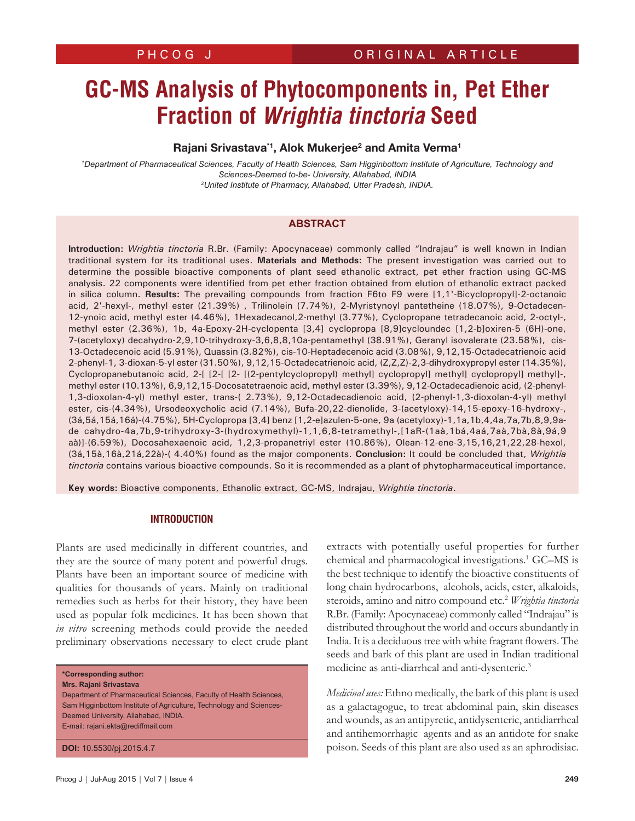# **GC-MS Analysis of Phytocomponents in, Pet Ether Fraction of** *Wrightia tinctoria* **Seed**

# Rajani Srivastava\*1, Alok Mukerjee<sup>2</sup> and Amita Verma<sup>1</sup>

*1 Department of Pharmaceutical Sciences, Faculty of Health Sciences, Sam Higginbottom Institute of Agriculture, Technology and Sciences-Deemed to-be- University, Allahabad, INDIA 2 United Institute of Pharmacy, Allahabad, Utter Pradesh, INDIA.*

# **ABSTRACT**

**Introduction:** *Wrightia tinctoria* R.Br. (Family: Apocynaceae) commonly called "Indrajau" is well known in Indian traditional system for its traditional uses. **Materials and Methods:** The present investigation was carried out to determine the possible bioactive components of plant seed ethanolic extract, pet ether fraction using GC-MS analysis. 22 components were identified from pet ether fraction obtained from elution of ethanolic extract packed in silica column. **Results:** The prevailing compounds from fraction F6to F9 were [1,1'-Bicyclopropyl]-2-octanoic acid, 2'-hexyl-, methyl ester (21.39%) , Trilinolein (7.74%), 2-Myristynoyl pantetheine (18.07%), 9-Octadecen-12-ynoic acid, methyl ester (4.46%), 1Hexadecanol,2-methyl (3.77%), Cyclopropane tetradecanoic acid, 2-octyl-, methyl ester (2.36%), 1b, 4a-Epoxy-2H-cyclopenta [3,4] cyclopropa [8,9]cycloundec [1,2-b]oxiren-5 (6H)-one, 7-(acetyloxy) decahydro-2,9,10-trihydroxy-3,6,8,8,10a-pentamethyl (38.91%), Geranyl isovalerate (23.58%), cis-13-Octadecenoic acid (5.91%), Quassin (3.82%), cis-10-Heptadecenoic acid (3.08%), 9,12,15-Octadecatrienoic acid 2-phenyl-1, 3-dioxan-5-yl ester (31.50%), 9,12,15-Octadecatrienoic acid, (Z,Z,Z)-2,3-dihydroxypropyl ester (14.35%), Cyclopropanebutanoic acid, 2-[ [2-[ [2- [(2-pentylcyclopropyl) methyl] cyclopropyl] methyl] cyclopropyl] methyl]-, methyl ester (10.13%), 6,9,12,15-Docosatetraenoic acid, methyl ester (3.39%), 9,12-Octadecadienoic acid, (2-phenyl-1,3-dioxolan-4-yl) methyl ester, trans-( 2.73%), 9,12-Octadecadienoic acid, (2-phenyl-1,3-dioxolan-4-yl) methyl ester, cis-(4.34%), Ursodeoxycholic acid (7.14%), Bufa-20,22-dienolide, 3-(acetyloxy)-14,15-epoxy-16-hydroxy-, (3á,5á,15á,16á)-(4.75%), 5H-Cyclopropa [3,4] benz [1,2-e]azulen-5-one, 9a (acetyloxy)-1,1a,1b,4,4a,7a,7b,8,9,9ade cahydro-4a,7b,9-trihydroxy-3-(hydroxymethyl)-1,1,6,8-tetramethyl-,[1aR-(1aà,1bá,4aá,7aà,7bà,8à,9á,9 aà)]-(6.59%), Docosahexaenoic acid, 1,2,3-propanetriyl ester (10.86%), Olean-12-ene-3,15,16,21,22,28-hexol, (3á,15à,16à,21á,22à)-( 4.40%) found as the major components. **Conclusion:** It could be concluded that, *Wrightia tinctoria* contains various bioactive compounds. So it is recommended as a plant of phytopharmaceutical importance.

**Key words:** Bioactive components, Ethanolic extract, GC-MS, Indrajau, *Wrightia tinctoria*.

# **INTRODUCTION**

Plants are used medicinally in different countries, and they are the source of many potent and powerful drugs. Plants have been an important source of medicine with qualities for thousands of years. Mainly on traditional remedies such as herbs for their history, they have been used as popular folk medicines. It has been shown that *in vitro* screening methods could provide the needed preliminary observations necessary to elect crude plant

**\*Corresponding author:**

**Mrs. Rajani Srivastava** 

Department of Pharmaceutical Sciences, Faculty of Health Sciences, Sam Higginbottom Institute of Agriculture, Technology and Sciences-Deemed University, Allahabad, INDIA. E-mail: rajani.ekta@rediffmail.com

**DOI:** 10.5530/pj.2015.4.7

extracts with potentially useful properties for further chemical and pharmacological investigations.1 GC–MS is the best technique to identify the bioactive constituents of long chain hydrocarbons, alcohols, acids, ester, alkaloids, steroids, amino and nitro compound etc.<sup>2</sup> *Wrightia tinctoria* R.Br. (Family: Apocynaceae) commonly called "Indrajau" is distributed throughout the world and occurs abundantly in India. It is a deciduous tree with white fragrant flowers. The seeds and bark of this plant are used in Indian traditional medicine as anti-diarrheal and anti-dysenteric.<sup>3</sup>

*Medicinal uses:* Ethno medically, the bark of this plant is used as a galactagogue, to treat abdominal pain, skin diseases and wounds, as an antipyretic, antidysenteric, antidiarrheal and antihemorrhagic agents and as an antidote for snake poison. Seeds of this plant are also used as an aphrodisiac.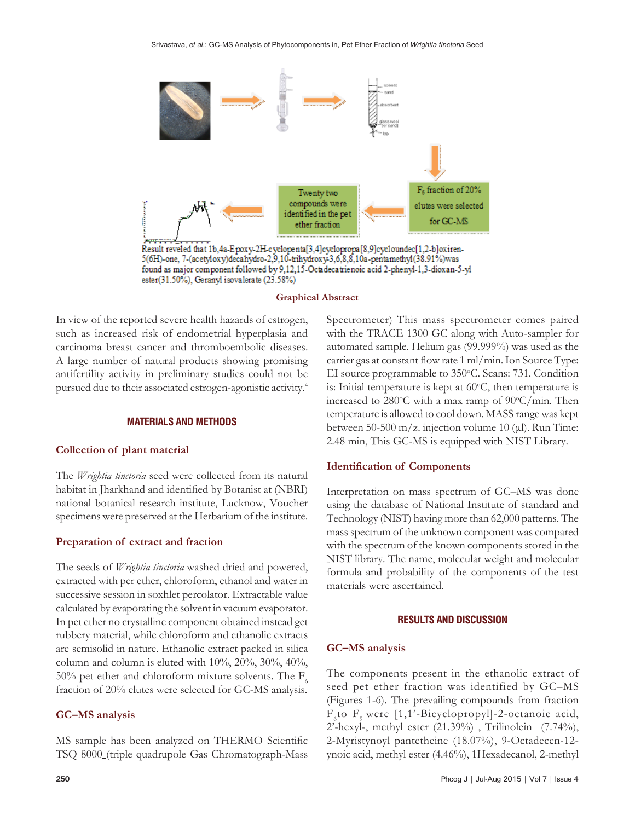

#### **Graphical Abstract**

In view of the reported severe health hazards of estrogen, such as increased risk of endometrial hyperplasia and carcinoma breast cancer and thromboembolic diseases. A large number of natural products showing promising antifertility activity in preliminary studies could not be pursued due to their associated estrogen-agonistic activity.4

#### **MATERIALS AND METHODS**

## **Collection of plant material**

The *Wrightia tinctoria* seed were collected from its natural habitat in Jharkhand and identified by Botanist at (NBRI) national botanical research institute, Lucknow, Voucher specimens were preserved at the Herbarium of the institute.

## **Preparation of extract and fraction**

The seeds of *Wrightia tinctoria* washed dried and powered, extracted with per ether, chloroform, ethanol and water in successive session in soxhlet percolator. Extractable value calculated by evaporating the solvent in vacuum evaporator. In pet ether no crystalline component obtained instead get rubbery material, while chloroform and ethanolic extracts are semisolid in nature. Ethanolic extract packed in silica column and column is eluted with 10%, 20%, 30%, 40%, 50% pet ether and chloroform mixture solvents. The  $F_6$ fraction of 20% elutes were selected for GC-MS analysis.

## **GC–MS analysis**

Spectrometer) This mass spectrometer comes paired with the TRACE 1300 GC along with Auto-sampler for automated sample. Helium gas (99.999%) was used as the carrier gas at constant flow rate 1 ml/min. Ion Source Type: EI source programmable to 350°C. Scans: 731. Condition is: Initial temperature is kept at  $60^{\circ}$ C, then temperature is increased to 280°C with a max ramp of 90°C/min. Then temperature is allowed to cool down. MASS range was kept between 50-500 m/z. injection volume 10 (μl). Run Time: 2.48 min, This GC-MS is equipped with NIST Library.

## **Identification of Components**

Interpretation on mass spectrum of GC–MS was done using the database of National Institute of standard and Technology (NIST) having more than 62,000 patterns. The mass spectrum of the unknown component was compared with the spectrum of the known components stored in the NIST library. The name, molecular weight and molecular formula and probability of the components of the test materials were ascertained.

#### **RESULTS AND DISCUSSION**

## **GC–MS analysis**

The components present in the ethanolic extract of seed pet ether fraction was identified by GC–MS (Figures 1-6). The prevailing compounds from fraction  $F<sub>6</sub>$ to  $F<sub>9</sub>$  were [1,1'-Bicyclopropyl]-2-octanoic acid, 2'-hexyl-, methyl ester (21.39%) , Trilinolein (7.74%), 2-Myristynoyl pantetheine (18.07%), 9-Octadecen-12 ynoic acid, methyl ester (4.46%), 1Hexadecanol, 2-methyl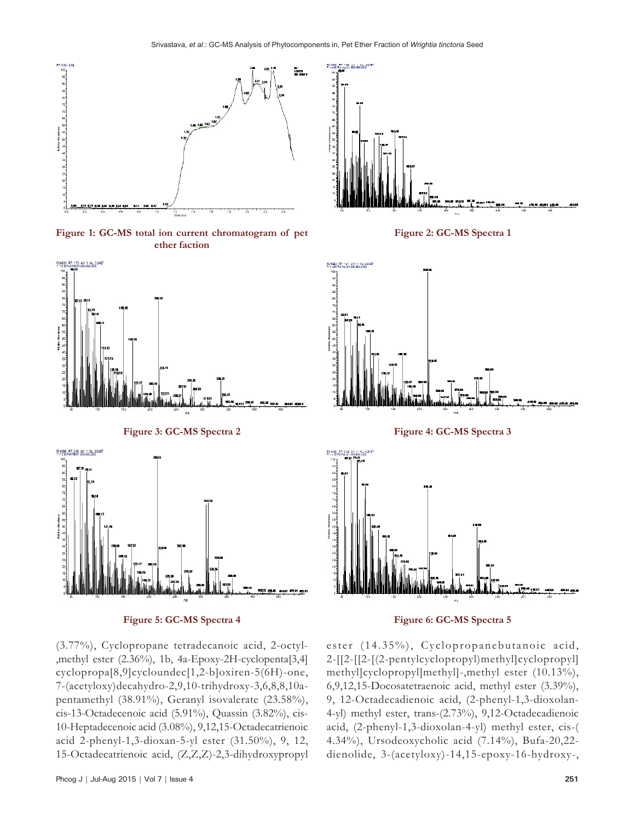24.4400

I.

10 AV 1 NE 1148



**Figure 1: GC-MS total ion current chromatogram of pet ether faction**



**Figure 3: GC-MS Spectra 2**









**Figure 4: GC-MS Spectra 3**





(3.77%), Cyclopropane tetradecanoic acid, 2-octyl- ,methyl ester (2.36%), 1b, 4a-Epoxy-2H-cyclopenta[3,4] cyclopropa[8,9]cycloundec[1,2-b]oxiren-5(6H)-one, 7-(acetyloxy)decahydro-2,9,10-trihydroxy-3,6,8,8,10apentamethyl (38.91%), Geranyl isovalerate (23.58%), cis-13-Octadecenoic acid (5.91%), Quassin (3.82%), cis-10-Heptadecenoic acid (3.08%), 9,12,15-Octadecatrienoic acid 2-phenyl-1,3-dioxan-5-yl ester (31.50%), 9, 12, 15-Octadecatrienoic acid, (Z,Z,Z)-2,3-dihydroxypropyl ester (14.35%), Cyclopropanebutanoic acid, 2-[[2-[[2-[(2-pentylcyclopropyl)methyl]cyclopropyl] methyl]cyclopropyl]methyl]-,methyl ester (10.13%), 6,9,12,15-Docosatetraenoic acid, methyl ester (3.39%), 9, 12-Octadecadienoic acid, (2-phenyl-1,3-dioxolan-4-yl) methyl ester, trans-(2.73%), 9,12-Octadecadienoic acid, (2-phenyl-1,3-dioxolan-4-yl) methyl ester, cis-( 4.34%), Ursodeoxycholic acid (7.14%), Bufa-20,22 dienolide, 3-(acetyloxy)-14,15-epoxy-16-hydroxy-,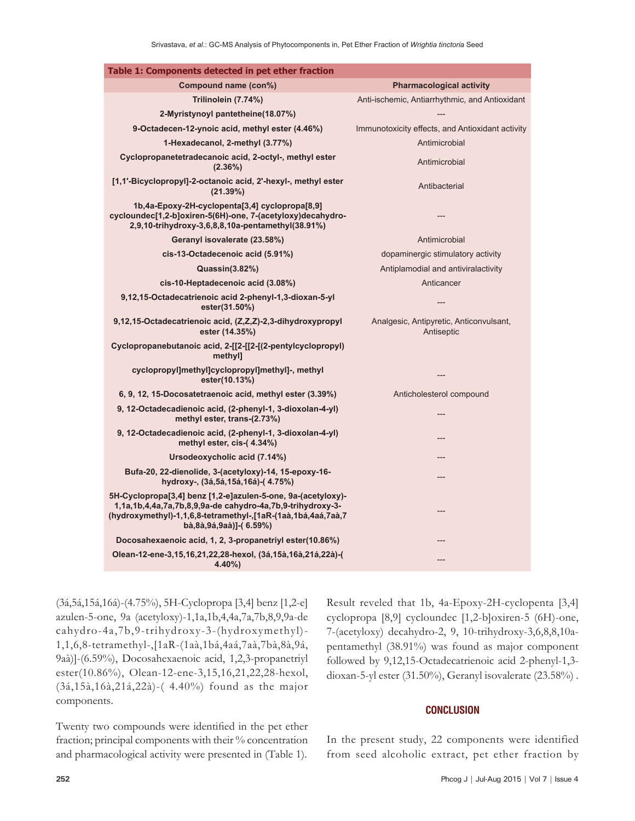| Table 1: Components detected in pet ether fraction                                                                                                                                                                   |                                                       |
|----------------------------------------------------------------------------------------------------------------------------------------------------------------------------------------------------------------------|-------------------------------------------------------|
| Compound name (con%)                                                                                                                                                                                                 | <b>Pharmacological activity</b>                       |
| Trilinolein (7.74%)                                                                                                                                                                                                  | Anti-ischemic, Antiarrhythmic, and Antioxidant        |
| 2-Myristynoyl pantetheine(18.07%)                                                                                                                                                                                    |                                                       |
| 9-Octadecen-12-ynoic acid, methyl ester (4.46%)                                                                                                                                                                      | Immunotoxicity effects, and Antioxidant activity      |
| 1-Hexadecanol, 2-methyl (3.77%)                                                                                                                                                                                      | Antimicrobial                                         |
| Cyclopropanetetradecanoic acid, 2-octyl-, methyl ester<br>$(2.36\%)$                                                                                                                                                 | Antimicrobial                                         |
| [1,1'-Bicyclopropyl]-2-octanoic acid, 2'-hexyl-, methyl ester<br>(21.39%)                                                                                                                                            | Antibacterial                                         |
| 1b,4a-Epoxy-2H-cyclopenta[3,4] cyclopropa[8,9]<br>cycloundec[1,2-b]oxiren-5(6H)-one, 7-(acetyloxy)decahydro-<br>2,9,10-trihydroxy-3,6,8,8,10a-pentamethyl(38.91%)                                                    |                                                       |
| Geranyl isovalerate (23.58%)                                                                                                                                                                                         | Antimicrobial                                         |
| cis-13-Octadecenoic acid (5.91%)                                                                                                                                                                                     | dopaminergic stimulatory activity                     |
| Quassin(3.82%)                                                                                                                                                                                                       | Antiplamodial and antiviralactivity                   |
| cis-10-Heptadecenoic acid (3.08%)                                                                                                                                                                                    | Anticancer                                            |
| 9,12,15-Octadecatrienoic acid 2-phenyl-1,3-dioxan-5-yl<br>ester(31.50%)                                                                                                                                              |                                                       |
| 9,12,15-Octadecatrienoic acid, (Z,Z,Z)-2,3-dihydroxypropyl<br>ester (14.35%)                                                                                                                                         | Analgesic, Antipyretic, Anticonvulsant,<br>Antiseptic |
| Cyclopropanebutanoic acid, 2-[[2-[[2-[(2-pentylcyclopropyl)<br>methyl]                                                                                                                                               |                                                       |
| cyclopropyl]methyl]cyclopropyl]methyl]-, methyl<br>ester(10.13%)                                                                                                                                                     |                                                       |
| 6, 9, 12, 15-Docosatetraenoic acid, methyl ester (3.39%)                                                                                                                                                             | Anticholesterol compound                              |
| 9, 12-Octadecadienoic acid, (2-phenyl-1, 3-dioxolan-4-yl)<br>methyl ester, trans-(2.73%)                                                                                                                             |                                                       |
| 9, 12-Octadecadienoic acid, (2-phenyl-1, 3-dioxolan-4-yl)<br>methyl ester, cis-(4.34%)                                                                                                                               |                                                       |
| Ursodeoxycholic acid (7.14%)                                                                                                                                                                                         |                                                       |
| Bufa-20, 22-dienolide, 3-(acetyloxy)-14, 15-epoxy-16-<br>hydroxy-, (3á,5á,15á,16á)-(4.75%)                                                                                                                           |                                                       |
| 5H-Cyclopropa[3,4] benz [1,2-e]azulen-5-one, 9a-(acetyloxy)-<br>1,1a,1b,4,4a,7a,7b,8,9,9a-de cahydro-4a,7b,9-trihydroxy-3-<br>(hydroxymethyl)-1,1,6,8-tetramethyl-,[1aR-(1aà,1bá,4aá,7aà,7<br>bà,8à,9á,9aà)]-(6.59%) |                                                       |
| Docosahexaenoic acid, 1, 2, 3-propanetriyl ester(10.86%)                                                                                                                                                             |                                                       |
| Olean-12-ene-3,15,16,21,22,28-hexol, (3á,15à,16à,21á,22à)-(<br>$4.40\%$                                                                                                                                              |                                                       |

(3á,5á,15á,16á)-(4.75%), 5H-Cyclopropa [3,4] benz [1,2-e] azulen-5-one, 9a (acetyloxy)-1,1a,1b,4,4a,7a,7b,8,9,9a-de cahydro-4a,7b,9-trihydroxy-3-(hydroxymethyl)- 1,1,6,8-tetramethyl-,[1aR-(1aà,1bá,4aá,7aà,7bà,8à,9á, 9aà)]-(6.59%), Docosahexaenoic acid, 1,2,3-propanetriyl ester(10.86%), Olean-12-ene-3,15,16,21,22,28-hexol, (3á,15à,16à,21á,22à)-( 4.40%) found as the major components.

Twenty two compounds were identified in the pet ether fraction; principal components with their % concentration and pharmacological activity were presented in (Table 1). Result reveled that 1b, 4a-Epoxy-2H-cyclopenta [3,4] cyclopropa [8,9] cycloundec [1,2-b]oxiren-5 (6H)-one, 7-(acetyloxy) decahydro-2, 9, 10-trihydroxy-3,6,8,8,10apentamethyl (38.91%) was found as major component followed by 9,12,15-Octadecatrienoic acid 2-phenyl-1,3 dioxan-5-yl ester (31.50%), Geranyl isovalerate (23.58%) .

## **CONCLUSION**

In the present study, 22 components were identified from seed alcoholic extract, pet ether fraction by